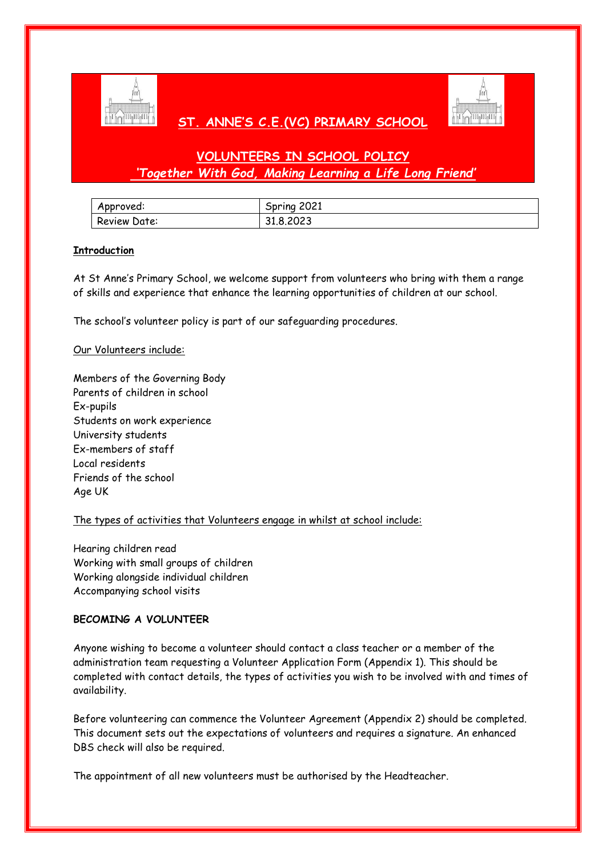

# **ST. ANNE'S C.E.(VC) PRIMARY SCHOOL**



# **VOLUNTEERS IN SCHOOL POLICY** *'Together With God, Making Learning a Life Long Friend'*

| Approved:    | 2021<br>Spring |
|--------------|----------------|
| Review Date: | 31.8.2023      |

# **Introduction**

At St Anne's Primary School, we welcome support from volunteers who bring with them a range of skills and experience that enhance the learning opportunities of children at our school.

The school's volunteer policy is part of our safeguarding procedures.

#### Our Volunteers include:

Members of the Governing Body Parents of children in school Ex-pupils Students on work experience University students Ex-members of staff Local residents Friends of the school Age UK

# The types of activities that Volunteers engage in whilst at school include:

Hearing children read Working with small groups of children Working alongside individual children Accompanying school visits

# **BECOMING A VOLUNTEER**

Anyone wishing to become a volunteer should contact a class teacher or a member of the administration team requesting a Volunteer Application Form (Appendix 1). This should be completed with contact details, the types of activities you wish to be involved with and times of availability.

Before volunteering can commence the Volunteer Agreement (Appendix 2) should be completed. This document sets out the expectations of volunteers and requires a signature. An enhanced DBS check will also be required.

The appointment of all new volunteers must be authorised by the Headteacher.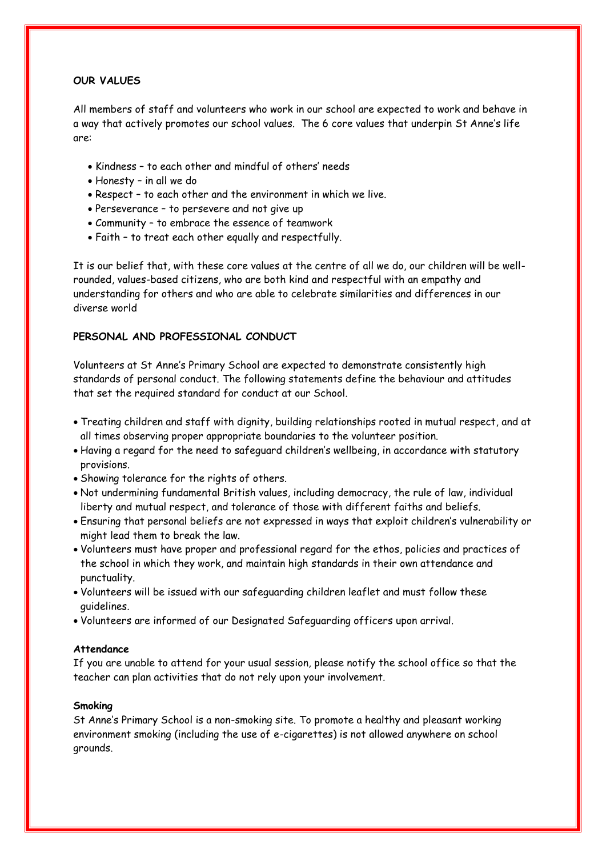# **OUR VALUES**

All members of staff and volunteers who work in our school are expected to work and behave in a way that actively promotes our school values. The 6 core values that underpin St Anne's life are:

- Kindness to each other and mindful of others' needs
- Honesty in all we do
- Respect to each other and the environment in which we live.
- Perseverance to persevere and not give up
- Community to embrace the essence of teamwork
- Faith to treat each other equally and respectfully.

It is our belief that, with these core values at the centre of all we do, our children will be wellrounded, values-based citizens, who are both kind and respectful with an empathy and understanding for others and who are able to celebrate similarities and differences in our diverse world

# **PERSONAL AND PROFESSIONAL CONDUCT**

Volunteers at St Anne's Primary School are expected to demonstrate consistently high standards of personal conduct. The following statements define the behaviour and attitudes that set the required standard for conduct at our School.

- Treating children and staff with dignity, building relationships rooted in mutual respect, and at all times observing proper appropriate boundaries to the volunteer position.
- Having a regard for the need to safeguard children's wellbeing, in accordance with statutory provisions.
- Showing tolerance for the rights of others.
- Not undermining fundamental British values, including democracy, the rule of law, individual liberty and mutual respect, and tolerance of those with different faiths and beliefs.
- Ensuring that personal beliefs are not expressed in ways that exploit children's vulnerability or might lead them to break the law.
- Volunteers must have proper and professional regard for the ethos, policies and practices of the school in which they work, and maintain high standards in their own attendance and punctuality.
- Volunteers will be issued with our safeguarding children leaflet and must follow these guidelines.
- Volunteers are informed of our Designated Safeguarding officers upon arrival.

#### **Attendance**

If you are unable to attend for your usual session, please notify the school office so that the teacher can plan activities that do not rely upon your involvement.

#### **Smoking**

St Anne's Primary School is a non-smoking site. To promote a healthy and pleasant working environment smoking (including the use of e-cigarettes) is not allowed anywhere on school grounds.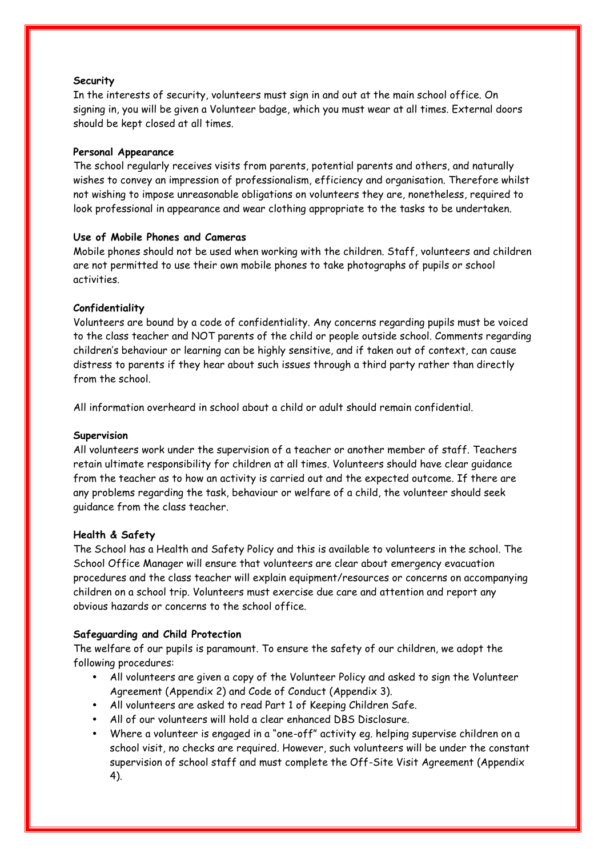#### **Security**

In the interests of security, volunteers must sign in and out at the main school office. On signing in, you will be given a Volunteer badge, which you must wear at all times. External doors should be kept closed at all times.

#### **Personal Appearance**

The school regularly receives visits from parents, potential parents and others, and naturally wishes to convey an impression of professionalism, efficiency and organisation. Therefore whilst not wishing to impose unreasonable obligations on volunteers they are, nonetheless, required to look professional in appearance and wear clothing appropriate to the tasks to be undertaken.

#### **Use of Mobile Phones and Cameras**

Mobile phones should not be used when working with the children. Staff, volunteers and children are not permitted to use their own mobile phones to take photographs of pupils or school activities.

#### **Confidentiality**

Volunteers are bound by a code of confidentiality. Any concerns regarding pupils must be voiced to the class teacher and NOT parents of the child or people outside school. Comments regarding children's behaviour or learning can be highly sensitive, and if taken out of context, can cause distress to parents if they hear about such issues through a third party rather than directly from the school.

All information overheard in school about a child or adult should remain confidential.

#### **Supervision**

All volunteers work under the supervision of a teacher or another member of staff. Teachers retain ultimate responsibility for children at all times. Volunteers should have clear guidance from the teacher as to how an activity is carried out and the expected outcome. If there are any problems regarding the task, behaviour or welfare of a child, the volunteer should seek guidance from the class teacher.

#### **Health & Safety**

The School has a Health and Safety Policy and this is available to volunteers in the school. The School Office Manager will ensure that volunteers are clear about emergency evacuation procedures and the class teacher will explain equipment/resources or concerns on accompanying children on a school trip. Volunteers must exercise due care and attention and report any obvious hazards or concerns to the school office.

# **Safeguarding and Child Protection**

The welfare of our pupils is paramount. To ensure the safety of our children, we adopt the following procedures:

- All volunteers are given a copy of the Volunteer Policy and asked to sign the Volunteer Agreement (Appendix 2) and Code of Conduct (Appendix 3).
- All volunteers are asked to read Part 1 of Keeping Children Safe.
- All of our volunteers will hold a clear enhanced DBS Disclosure.
- Where a volunteer is engaged in a "one-off" activity eg. helping supervise children on a school visit, no checks are required. However, such volunteers will be under the constant supervision of school staff and must complete the Off-Site Visit Agreement (Appendix 4).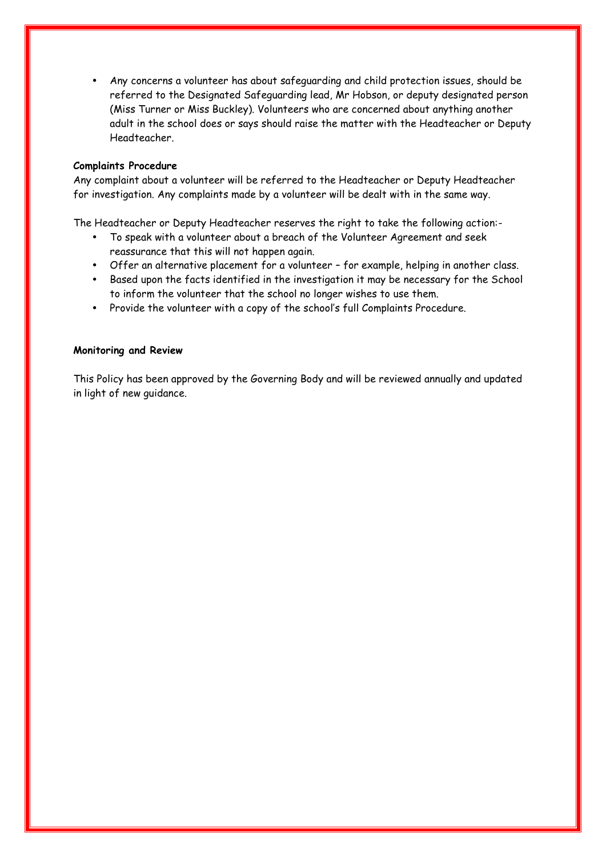• Any concerns a volunteer has about safeguarding and child protection issues, should be referred to the Designated Safeguarding lead, Mr Hobson, or deputy designated person (Miss Turner or Miss Buckley). Volunteers who are concerned about anything another adult in the school does or says should raise the matter with the Headteacher or Deputy Headteacher.

#### **Complaints Procedure**

Any complaint about a volunteer will be referred to the Headteacher or Deputy Headteacher for investigation. Any complaints made by a volunteer will be dealt with in the same way.

The Headteacher or Deputy Headteacher reserves the right to take the following action:-

- To speak with a volunteer about a breach of the Volunteer Agreement and seek reassurance that this will not happen again.
- Offer an alternative placement for a volunteer for example, helping in another class.
- Based upon the facts identified in the investigation it may be necessary for the School to inform the volunteer that the school no longer wishes to use them.
- Provide the volunteer with a copy of the school's full Complaints Procedure.

#### **Monitoring and Review**

This Policy has been approved by the Governing Body and will be reviewed annually and updated in light of new guidance.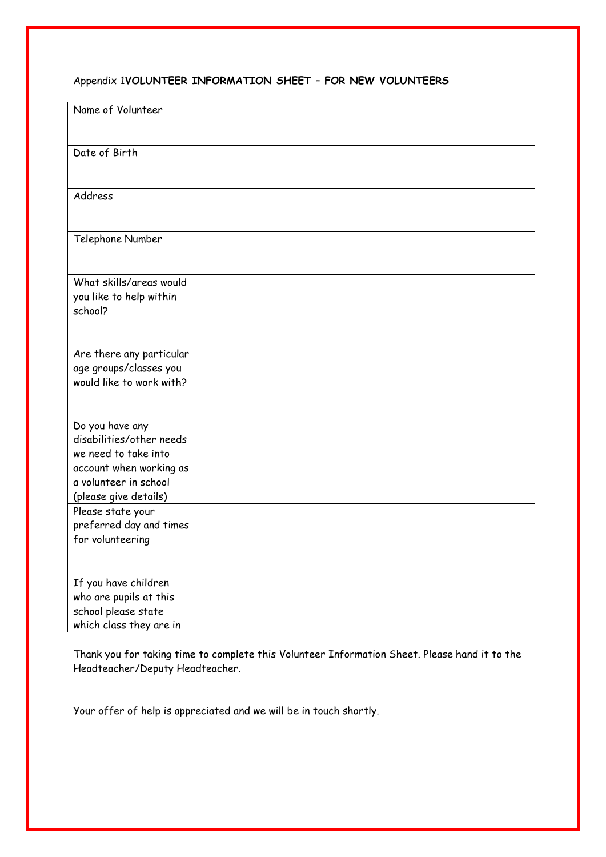# Appendix 1**VOLUNTEER INFORMATION SHEET – FOR NEW VOLUNTEERS**

| Name of Volunteer                                                                                                                                |  |
|--------------------------------------------------------------------------------------------------------------------------------------------------|--|
| Date of Birth                                                                                                                                    |  |
| Address                                                                                                                                          |  |
| Telephone Number                                                                                                                                 |  |
| What skills/areas would<br>you like to help within<br>school?                                                                                    |  |
| Are there any particular<br>age groups/classes you<br>would like to work with?                                                                   |  |
| Do you have any<br>disabilities/other needs<br>we need to take into<br>account when working as<br>a volunteer in school<br>(please give details) |  |
| Please state your<br>preferred day and times<br>for volunteering                                                                                 |  |
| If you have children<br>who are pupils at this<br>school please state<br>which class they are in                                                 |  |

Thank you for taking time to complete this Volunteer Information Sheet. Please hand it to the Headteacher/Deputy Headteacher.

Your offer of help is appreciated and we will be in touch shortly.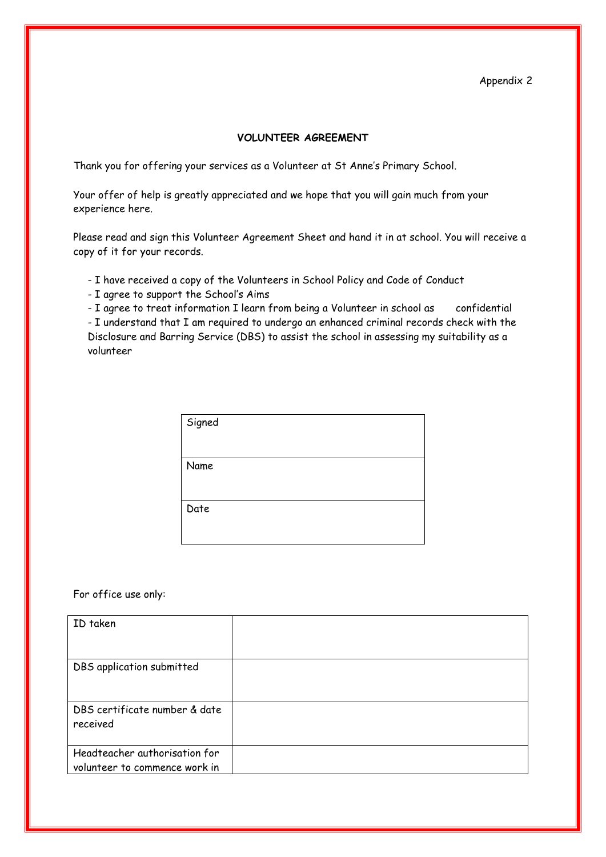## Appendix 2

#### **VOLUNTEER AGREEMENT**

Thank you for offering your services as a Volunteer at St Anne's Primary School.

Your offer of help is greatly appreciated and we hope that you will gain much from your experience here.

Please read and sign this Volunteer Agreement Sheet and hand it in at school. You will receive a copy of it for your records.

- I have received a copy of the Volunteers in School Policy and Code of Conduct
- I agree to support the School's Aims

- I agree to treat information I learn from being a Volunteer in school as confidential

- I understand that I am required to undergo an enhanced criminal records check with the Disclosure and Barring Service (DBS) to assist the school in assessing my suitability as a volunteer

| Signed |  |
|--------|--|
|        |  |
| Name   |  |
|        |  |
| Date   |  |
|        |  |

For office use only:

| ID taken                                                       |  |
|----------------------------------------------------------------|--|
| DBS application submitted                                      |  |
| DBS certificate number & date<br>received                      |  |
| Headteacher authorisation for<br>volunteer to commence work in |  |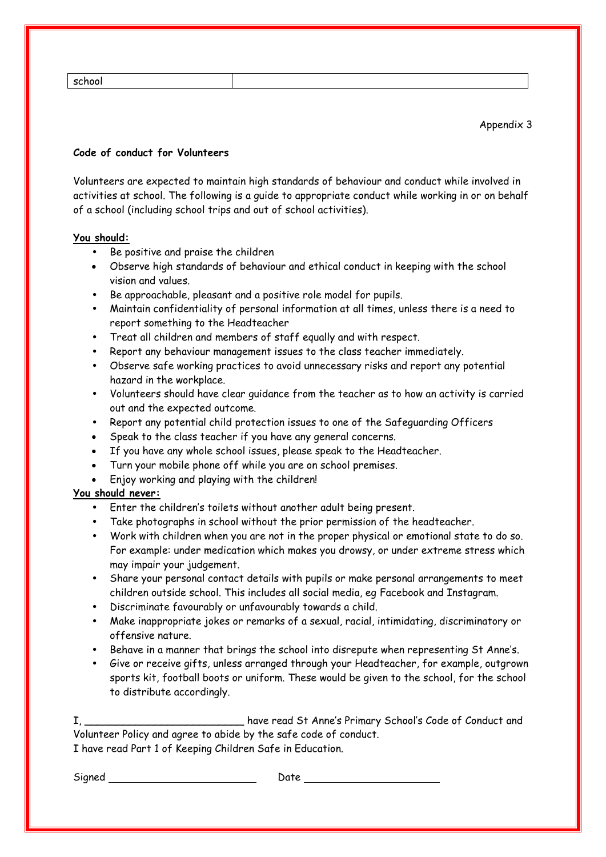| 17 | г |  |
|----|---|--|
|----|---|--|

## **Code of conduct for Volunteers**

Volunteers are expected to maintain high standards of behaviour and conduct while involved in activities at school. The following is a guide to appropriate conduct while working in or on behalf of a school (including school trips and out of school activities).

#### **You should:**

- Be positive and praise the children
- Observe high standards of behaviour and ethical conduct in keeping with the school vision and values.
- Be approachable, pleasant and a positive role model for pupils.
- Maintain confidentiality of personal information at all times, unless there is a need to report something to the Headteacher
- Treat all children and members of staff equally and with respect.
- Report any behaviour management issues to the class teacher immediately.
- Observe safe working practices to avoid unnecessary risks and report any potential hazard in the workplace.
- Volunteers should have clear guidance from the teacher as to how an activity is carried out and the expected outcome.
- Report any potential child protection issues to one of the Safeguarding Officers
- Speak to the class teacher if you have any general concerns.
- If you have any whole school issues, please speak to the Headteacher.
- Turn your mobile phone off while you are on school premises.
- Enjoy working and playing with the children!

# **You should never:**

- Enter the children's toilets without another adult being present.
- Take photographs in school without the prior permission of the headteacher.
- Work with children when you are not in the proper physical or emotional state to do so. For example: under medication which makes you drowsy, or under extreme stress which may impair your judgement.
- Share your personal contact details with pupils or make personal arrangements to meet children outside school. This includes all social media, eg Facebook and Instagram.
- Discriminate favourably or unfavourably towards a child.
- Make inappropriate jokes or remarks of a sexual, racial, intimidating, discriminatory or offensive nature.
- Behave in a manner that brings the school into disrepute when representing St Anne's.
- Give or receive gifts, unless arranged through your Headteacher, for example, outgrown sports kit, football boots or uniform. These would be given to the school, for the school to distribute accordingly.

I, \_\_\_\_\_\_\_\_\_\_\_\_\_\_\_\_\_\_\_\_\_\_\_\_\_ have read St Anne's Primary School's Code of Conduct and Volunteer Policy and agree to abide by the safe code of conduct. I have read Part 1 of Keeping Children Safe in Education.

Signed Date Date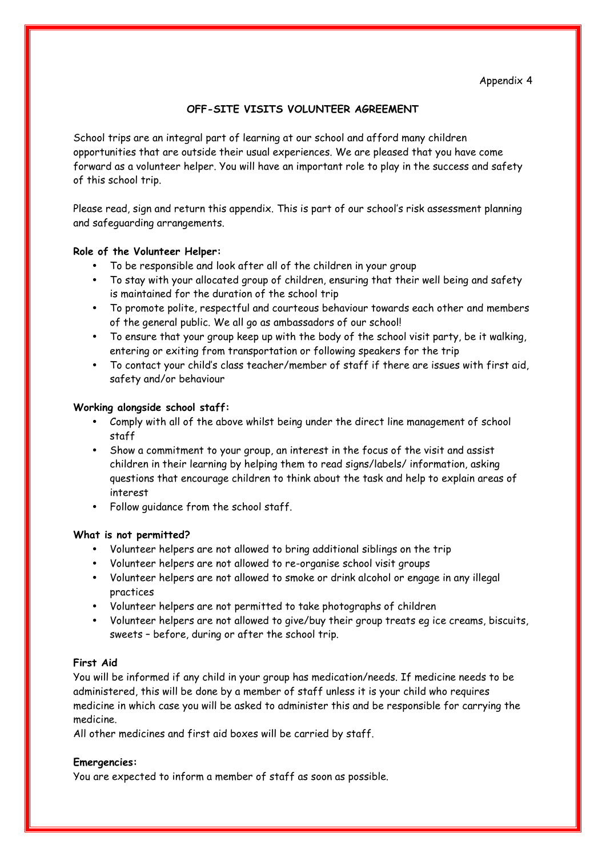# **OFF-SITE VISITS VOLUNTEER AGREEMENT**

School trips are an integral part of learning at our school and afford many children opportunities that are outside their usual experiences. We are pleased that you have come forward as a volunteer helper. You will have an important role to play in the success and safety of this school trip.

Please read, sign and return this appendix. This is part of our school's risk assessment planning and safeguarding arrangements.

#### **Role of the Volunteer Helper:**

- To be responsible and look after all of the children in your group
- To stay with your allocated group of children, ensuring that their well being and safety is maintained for the duration of the school trip
- To promote polite, respectful and courteous behaviour towards each other and members of the general public. We all go as ambassadors of our school!
- To ensure that your group keep up with the body of the school visit party, be it walking, entering or exiting from transportation or following speakers for the trip
- To contact your child's class teacher/member of staff if there are issues with first aid, safety and/or behaviour

#### **Working alongside school staff:**

- Comply with all of the above whilst being under the direct line management of school staff
- Show a commitment to your group, an interest in the focus of the visit and assist children in their learning by helping them to read signs/labels/ information, asking questions that encourage children to think about the task and help to explain areas of interest
- Follow guidance from the school staff.

#### **What is not permitted?**

- Volunteer helpers are not allowed to bring additional siblings on the trip
- Volunteer helpers are not allowed to re-organise school visit groups
- Volunteer helpers are not allowed to smoke or drink alcohol or engage in any illegal practices
- Volunteer helpers are not permitted to take photographs of children
- Volunteer helpers are not allowed to give/buy their group treats eg ice creams, biscuits, sweets – before, during or after the school trip.

## **First Aid**

You will be informed if any child in your group has medication/needs. If medicine needs to be administered, this will be done by a member of staff unless it is your child who requires medicine in which case you will be asked to administer this and be responsible for carrying the medicine.

All other medicines and first aid boxes will be carried by staff.

#### **Emergencies:**

You are expected to inform a member of staff as soon as possible.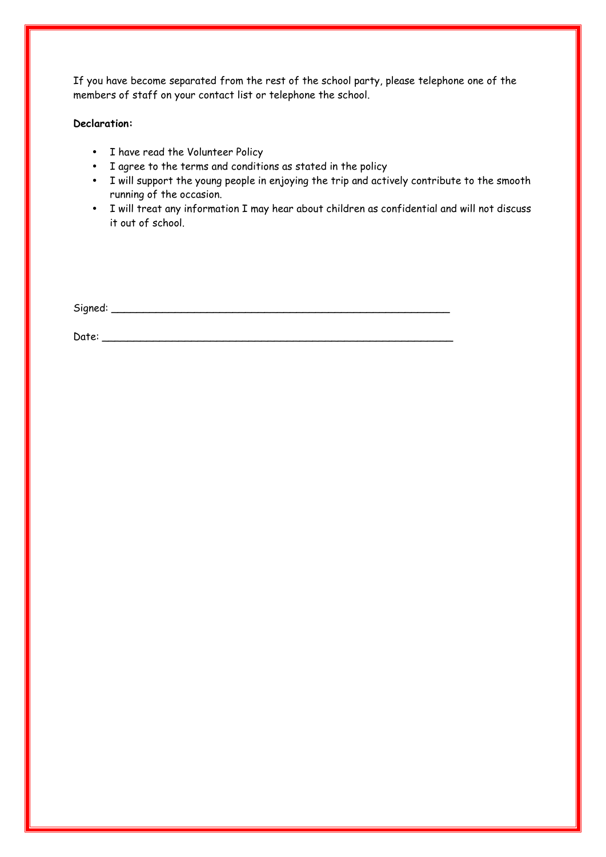If you have become separated from the rest of the school party, please telephone one of the members of staff on your contact list or telephone the school.

#### **Declaration:**

- I have read the Volunteer Policy
- I agree to the terms and conditions as stated in the policy
- I will support the young people in enjoying the trip and actively contribute to the smooth running of the occasion.
- I will treat any information I may hear about children as confidential and will not discuss it out of school.

Signed: \_\_\_\_\_\_\_\_\_\_\_\_\_\_\_\_\_\_\_\_\_\_\_\_\_\_\_\_\_\_\_\_\_\_\_\_\_\_\_\_\_\_\_\_\_\_\_\_\_\_\_\_\_

Date: \_\_\_\_\_\_\_\_\_\_\_\_\_\_\_\_\_\_\_\_\_\_\_\_\_\_\_\_\_\_\_\_\_\_\_\_\_\_\_\_\_\_\_\_\_\_\_\_\_\_\_\_\_\_\_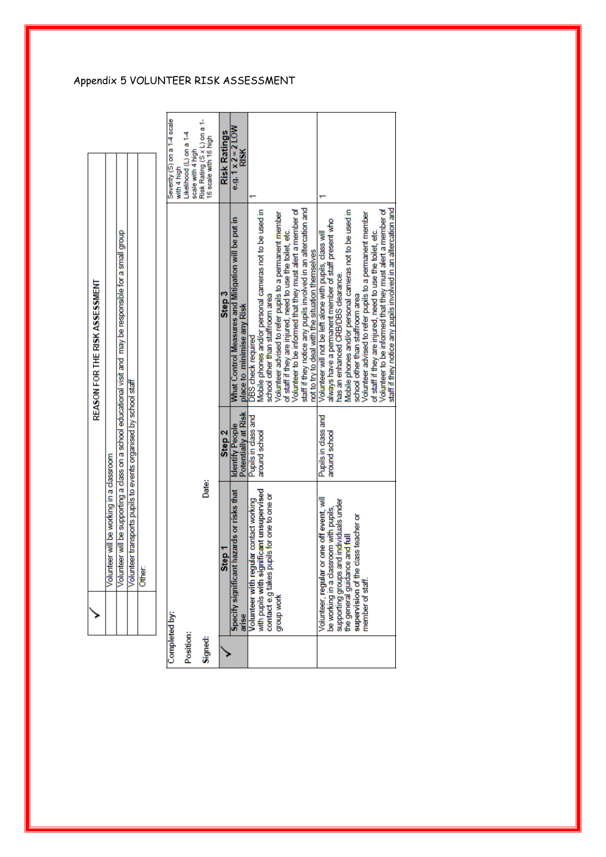|           | Volunteer will be working in a classroom                                 |                                               |                                                                                                                    |                                                      |
|-----------|--------------------------------------------------------------------------|-----------------------------------------------|--------------------------------------------------------------------------------------------------------------------|------------------------------------------------------|
|           | Volunte                                                                  |                                               | eer will be supporting a class on a school educational visit and may be responsible for a small group              |                                                      |
|           | Volunteer transports pupils to events organised by school staff          |                                               |                                                                                                                    |                                                      |
|           | Other:                                                                   |                                               |                                                                                                                    |                                                      |
|           |                                                                          |                                               |                                                                                                                    |                                                      |
|           | Completed by:                                                            |                                               |                                                                                                                    | Severity (S) on a 1-4 scale<br>with 4 high           |
|           |                                                                          |                                               |                                                                                                                    | Likelihood (L) on a 1-4                              |
| Position: |                                                                          |                                               |                                                                                                                    | scale with 4 high                                    |
| Signed:   | Date:                                                                    |                                               |                                                                                                                    | Risk Rating (S x L) on a 1-<br>16 scale with 16 high |
|           | Step <sub>1</sub>                                                        | Step <sub>2</sub>                             | Step <sub>3</sub>                                                                                                  | <b>Risk Ratings</b>                                  |
|           | hazards or risks that<br><b>Specify significant</b><br>arise             | Potentially at Risk<br><b>Identify People</b> | What Control Measures and Mitigation will be put in<br>place to minimise any Risk                                  | e.g. $1 \times 2 = 2$ LOW<br><b>RISK</b>             |
|           | ular contact working<br>Volunteer with reg                               | Pupils in class and                           | <b>DBS</b> check required                                                                                          |                                                      |
|           | with pupils with significant unsupervised                                | around school                                 | Mobile phones and/or personal cameras not to be used in                                                            |                                                      |
|           | contact e.g takes pupils for one to one or                               |                                               | school other than staffroom area                                                                                   |                                                      |
|           | group work                                                               |                                               | Volunteer advised to refer pupils to a permanent member                                                            |                                                      |
|           |                                                                          |                                               | of staff if they are injured, need to use the toilet, etc.                                                         |                                                      |
|           |                                                                          |                                               | Volunteer to be informed that they must alert a member of                                                          |                                                      |
|           |                                                                          |                                               | staff if they notice any pupils involved in an altercation and<br>not to try to deal with the situation themselves |                                                      |
|           | Volunteer, regular or one off event, will                                | Pupils in dass and                            | Volunteer will not be left alone with pupils, class will                                                           |                                                      |
|           | be working in a classroom with pupils,                                   | around school                                 | always have a permanent member of staff present who                                                                |                                                      |
|           | supporting groups and individuals under<br>the general guidance and full |                                               | has an enhanced CRB/DBS clearance.                                                                                 |                                                      |
|           |                                                                          |                                               | Mobile phones and/or personal cameras not to be used in                                                            |                                                      |
|           | supervision of the class teacher or                                      |                                               | school other than staffroom area                                                                                   |                                                      |
|           | member of staff                                                          |                                               | Volunteer advised to refer pupils to a permanent member                                                            |                                                      |
|           |                                                                          |                                               | of staff if they are injured, need to use the toilet, etc.                                                         |                                                      |
|           |                                                                          |                                               | Volunteer to be informed that they must alert a member of                                                          |                                                      |
|           |                                                                          |                                               | staff if they notice any pupils involved in an altercation and                                                     |                                                      |

# Appendix 5 VOLUNTEER RISK ASSESSMENT

REASON FOR THE RISK ASSESSMENT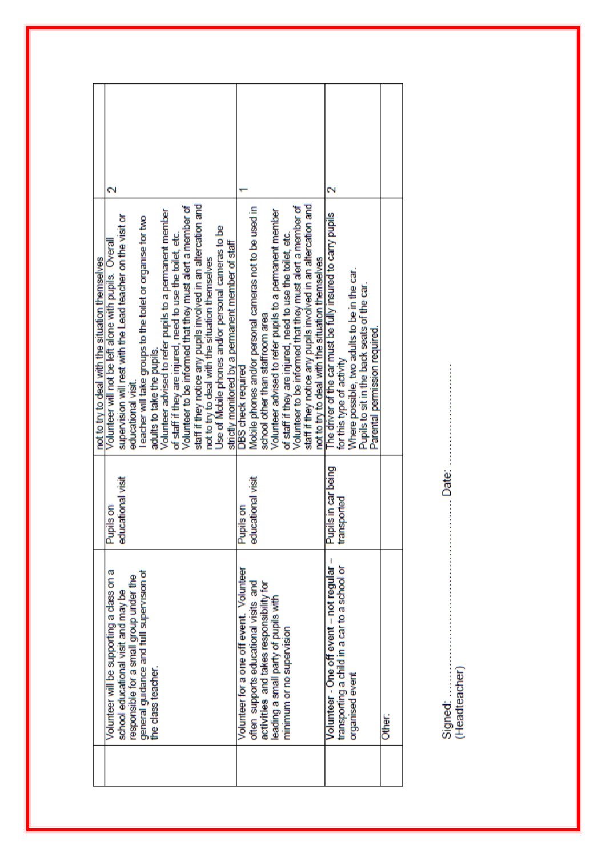|                                                                                                                                                                                                                                                                                                                   |                                                                      | not to try to deal with the situation themselves                                                                                                                                                                                                                                                                                                                                                                                                                                                                                                                                                                                                              |                    |
|-------------------------------------------------------------------------------------------------------------------------------------------------------------------------------------------------------------------------------------------------------------------------------------------------------------------|----------------------------------------------------------------------|---------------------------------------------------------------------------------------------------------------------------------------------------------------------------------------------------------------------------------------------------------------------------------------------------------------------------------------------------------------------------------------------------------------------------------------------------------------------------------------------------------------------------------------------------------------------------------------------------------------------------------------------------------------|--------------------|
| Volunteer will be supporting a class on a<br>general guidance and full supervision of<br>responsible for a small group under the<br>school educational visit and may be<br>the class teacher.                                                                                                                     | educational visit<br>Pupils on                                       | staff if they notice any pupils involved in an altercation and<br>Volunteer to be informed that they must alert a member of<br>Volunteer advised to refer pupils to a permanent member<br>supervision will rest with the Lead teacher on the visit or<br>Teacher will take groups to the toilet or organise for two<br>Use of Mobile phones and/or personal cameras to be<br>of staff if they are injured, need to use the toilet, etc.<br>Volunteer will not be left alone with pupils. Overall<br>strictly monitored by a permanent member of staff<br>not to try to deal with the situation themselves<br>adults to take the pupils.<br>educational visit. | $\scriptstyle\sim$ |
| Volunteer - One off event - not regular -<br>transporting a child in a car to a school or<br>Volunteer for a one off event. Volunteer<br>often supports educational visits and<br>activities and takes responsibility for<br>leading a small party of pupils with<br>minimum or no supervision<br>organised event | Pupils in car being<br>educational visit<br>transported<br>Pupils on | staff if they notice any pupils involved in an altercation and<br>Volunteer to be informed that they must alert a member of<br>Mobile phones and/or personal cameras not to be used in<br>Volunteer advised to refer pupils to a permanent member<br>The driver of the car must be fully insured to carry pupils<br>of staff if they are injured, need to use the toilet, etc.<br>not to try to deal with the situation themselves<br>Where possible, two adults to be in the car.<br>Pupils to sit in the back seats of the car.<br>school other than staffroom area<br>Parental permission required.<br>for this type of activity<br>DBS check required     |                    |
| Other:                                                                                                                                                                                                                                                                                                            |                                                                      |                                                                                                                                                                                                                                                                                                                                                                                                                                                                                                                                                                                                                                                               |                    |

Signed:<br>(Headteacher)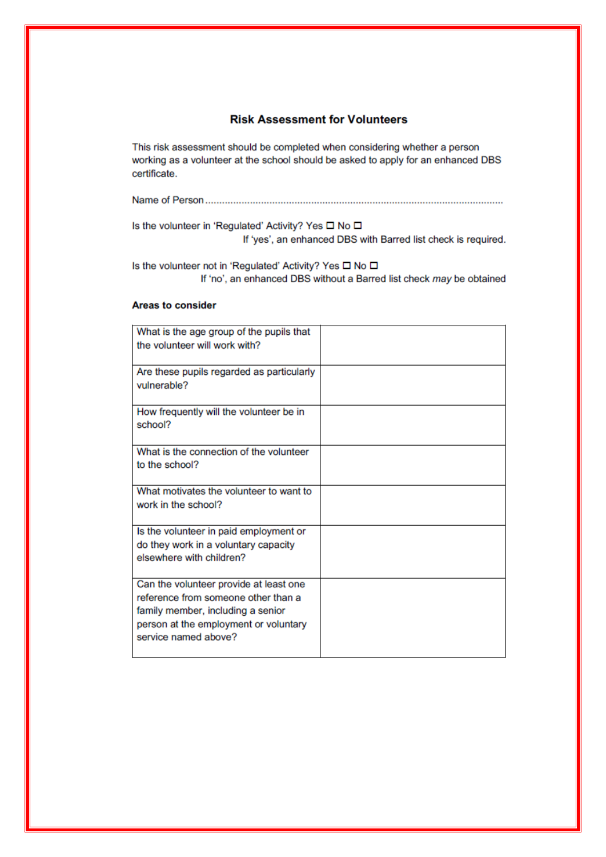# **Risk Assessment for Volunteers**

This risk assessment should be completed when considering whether a person working as a volunteer at the school should be asked to apply for an enhanced DBS certificate.

Is the volunteer in 'Regulated' Activity? Yes □ No □ If 'yes', an enhanced DBS with Barred list check is required.

Is the volunteer not in 'Regulated' Activity? Yes □ No □ If 'no', an enhanced DBS without a Barred list check may be obtained

#### **Areas to consider**

| What is the age group of the pupils that<br>the volunteer will work with?                                                                                                           |  |
|-------------------------------------------------------------------------------------------------------------------------------------------------------------------------------------|--|
| Are these pupils regarded as particularly<br>vulnerable?                                                                                                                            |  |
| How frequently will the volunteer be in<br>school?                                                                                                                                  |  |
| What is the connection of the volunteer<br>to the school?                                                                                                                           |  |
| What motivates the volunteer to want to<br>work in the school?                                                                                                                      |  |
| Is the volunteer in paid employment or<br>do they work in a voluntary capacity<br>elsewhere with children?                                                                          |  |
| Can the volunteer provide at least one<br>reference from someone other than a<br>family member, including a senior<br>person at the employment or voluntary<br>service named above? |  |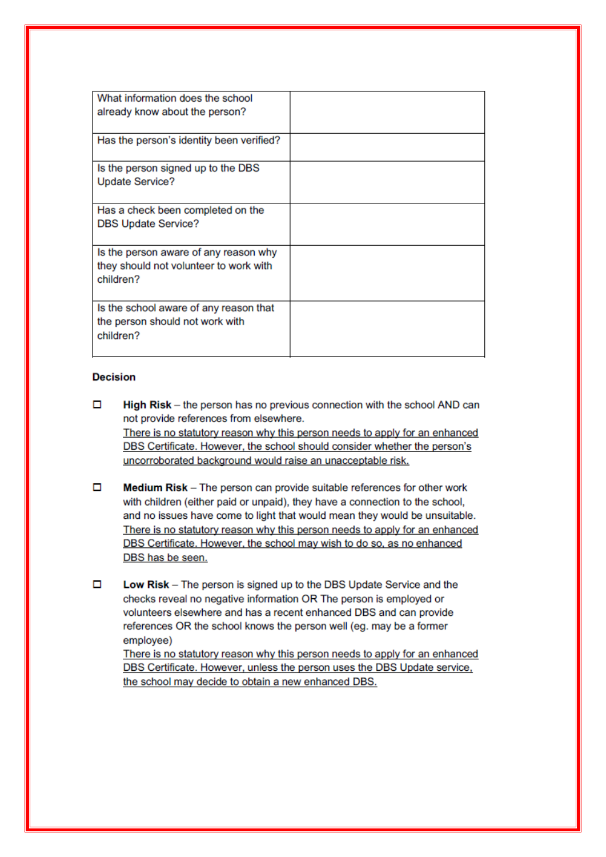| What information does the school<br>already know about the person?                           |  |
|----------------------------------------------------------------------------------------------|--|
| Has the person's identity been verified?                                                     |  |
| Is the person signed up to the DBS<br><b>Update Service?</b>                                 |  |
| Has a check been completed on the<br><b>DBS Update Service?</b>                              |  |
| Is the person aware of any reason why<br>they should not volunteer to work with<br>children? |  |
| Is the school aware of any reason that<br>the person should not work with<br>children?       |  |

#### **Decision**

- о High Risk – the person has no previous connection with the school AND can not provide references from elsewhere. There is no statutory reason why this person needs to apply for an enhanced DBS Certificate. However, the school should consider whether the person's uncorroborated background would raise an unacceptable risk.
- $\Box$ Medium Risk - The person can provide suitable references for other work with children (either paid or unpaid), they have a connection to the school, and no issues have come to light that would mean they would be unsuitable. There is no statutory reason why this person needs to apply for an enhanced DBS Certificate. However, the school may wish to do so, as no enhanced DBS has be seen.
- о Low Risk - The person is signed up to the DBS Update Service and the checks reveal no negative information OR The person is employed or volunteers elsewhere and has a recent enhanced DBS and can provide references OR the school knows the person well (eg. may be a former employee)

There is no statutory reason why this person needs to apply for an enhanced DBS Certificate. However, unless the person uses the DBS Update service, the school may decide to obtain a new enhanced DBS.